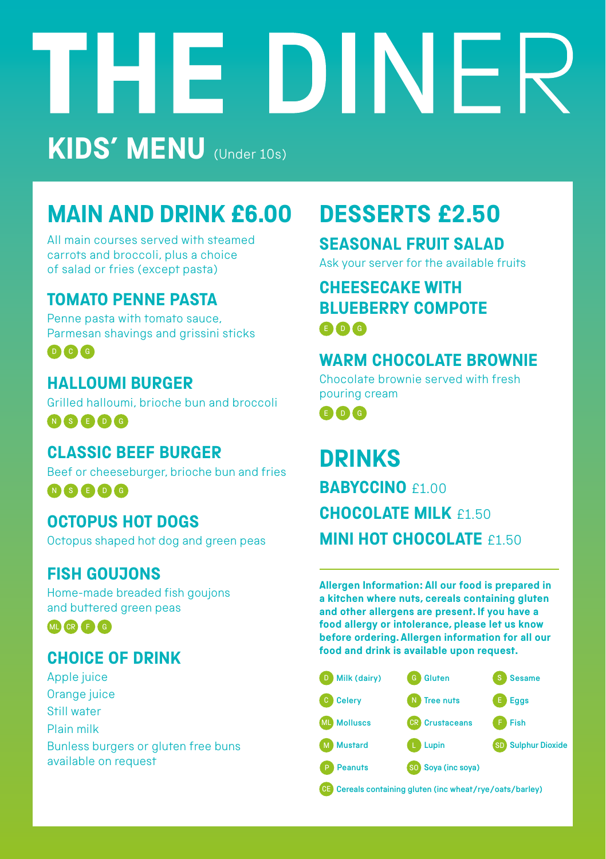# DINER 1313 **KIDS' MENU** (Under 10s)

# **MAIN AND DRINK £6.00**

All main courses served with steamed carrots and broccoli, plus a choice of salad or fries (except pasta)

#### **TOMATO PENNE PASTA**

Penne pasta with tomato sauce, Parmesan shavings and grissini sticks

D C G

#### **HALLOUMI BURGER**

Grilled halloumi, brioche bun and broccoli N S E D G

#### **CLASSIC BEEF BURGER**

Beef or cheeseburger, brioche bun and fries N S E D G

#### **OCTOPUS HOT DOGS**

Octopus shaped hot dog and green peas

#### **FISH GOUJONS**

Home-made breaded fish goujons and buttered green peas

MRBC<sub>C</sub>

#### **CHOICE OF DRINK**

Apple juice Orange juice Still water Plain milk Bunless burgers or gluten free buns available on request

## **DESSERTS £2.50**

#### **SEASONAL FRUIT SALAD**

Ask your server for the available fruits

#### **CHEESECAKE WITH BLUEBERRY COMPOTE**  E D G

#### **WARM CHOCOLATE BROWNIE**

Chocolate brownie served with fresh pouring cream

E D G

### **DRINKS BABYCCINO**<sub>£1.00</sub> **CHOCOLATE MILK** £1.50 **MINI HOT CHOCOL ATE £1.50**

**Allergen Information: All our food is prepared in a kitchen where nuts, cereals containing gluten and other allergens are present. If you have a food allergy or intolerance, please let us know before ordering. Allergen information for all our food and drink is available upon request.**



Cereals containing gluten (inc wheat/rye/oats/barley)